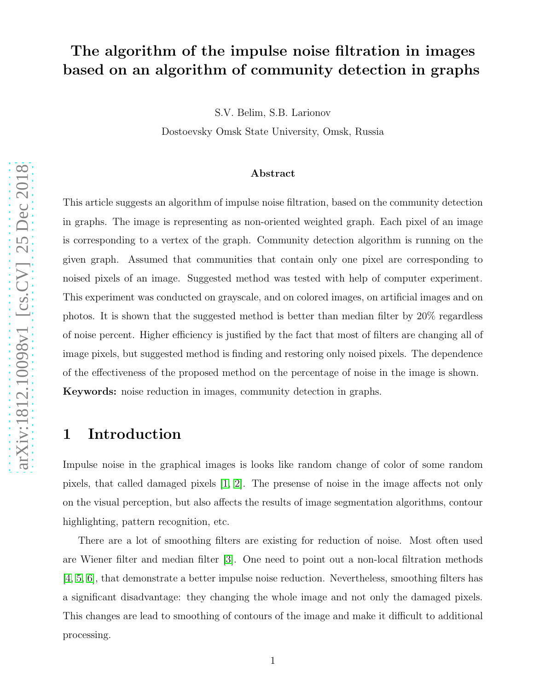# The algorithm of the impulse noise filtration in images based on an algorithm of community detection in graphs

S.V. Belim, S.B. Larionov

Dostoevsky Omsk State University, Omsk, Russia

#### Abstract

This article suggests an algorithm of impulse noise filtration, based on the community detection in graphs. The image is representing as non-oriented weighted graph. Each pixel of an image is corresponding to a vertex of the graph. Community detection algorithm is running on the given graph. Assumed that communities that contain only one pixel are corresponding to noised pixels of an image. Suggested method was tested with help of computer experiment. This experiment was conducted on grayscale, and on colored images, on artificial images and on photos. It is shown that the suggested method is better than median filter by 20% regardless of noise percent. Higher efficiency is justified by the fact that most of filters are changing all of image pixels, but suggested method is finding and restoring only noised pixels. The dependence of the effectiveness of the proposed method on the percentage of noise in the image is shown. Keywords: noise reduction in images, community detection in graphs.

## 1 Introduction

Impulse noise in the graphical images is looks like random change of color of some random pixels, that called damaged pixels [\[1,](#page-7-0) [2\]](#page-8-0). The presense of noise in the image affects not only on the visual perception, but also affects the results of image segmentation algorithms, contour highlighting, pattern recognition, etc.

There are a lot of smoothing filters are existing for reduction of noise. Most often used are Wiener filter and median filter [\[3\]](#page-8-1). One need to point out a non-local filtration methods [\[4,](#page-8-2) [5,](#page-8-3) [6\]](#page-8-4), that demonstrate a better impulse noise reduction. Nevertheless, smoothing filters has a significant disadvantage: they changing the whole image and not only the damaged pixels. This changes are lead to smoothing of contours of the image and make it difficult to additional processing.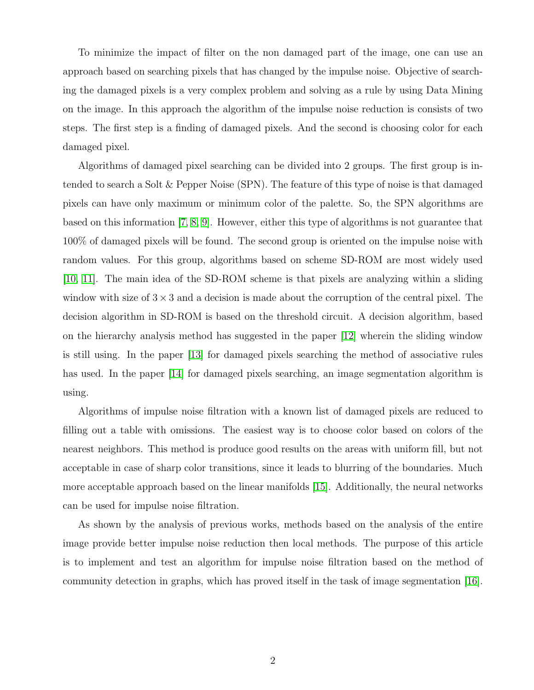To minimize the impact of filter on the non damaged part of the image, one can use an approach based on searching pixels that has changed by the impulse noise. Objective of searching the damaged pixels is a very complex problem and solving as a rule by using Data Mining on the image. In this approach the algorithm of the impulse noise reduction is consists of two steps. The first step is a finding of damaged pixels. And the second is choosing color for each damaged pixel.

Algorithms of damaged pixel searching can be divided into 2 groups. The first group is intended to search a Solt & Pepper Noise (SPN). The feature of this type of noise is that damaged pixels can have only maximum or minimum color of the palette. So, the SPN algorithms are based on this information [\[7,](#page-8-5) [8,](#page-8-6) [9\]](#page-8-7). However, either this type of algorithms is not guarantee that 100% of damaged pixels will be found. The second group is oriented on the impulse noise with random values. For this group, algorithms based on scheme SD-ROM are most widely used [\[10,](#page-8-8) [11\]](#page-8-9). The main idea of the SD-ROM scheme is that pixels are analyzing within a sliding window with size of  $3\times3$  and a decision is made about the corruption of the central pixel. The decision algorithm in SD-ROM is based on the threshold circuit. A decision algorithm, based on the hierarchy analysis method has suggested in the paper [\[12\]](#page-9-0) wherein the sliding window is still using. In the paper [\[13\]](#page-9-1) for damaged pixels searching the method of associative rules has used. In the paper [\[14\]](#page-9-2) for damaged pixels searching, an image segmentation algorithm is using.

Algorithms of impulse noise filtration with a known list of damaged pixels are reduced to filling out a table with omissions. The easiest way is to choose color based on colors of the nearest neighbors. This method is produce good results on the areas with uniform fill, but not acceptable in case of sharp color transitions, since it leads to blurring of the boundaries. Much more acceptable approach based on the linear manifolds [\[15\]](#page-9-3). Additionally, the neural networks can be used for impulse noise filtration.

As shown by the analysis of previous works, methods based on the analysis of the entire image provide better impulse noise reduction then local methods. The purpose of this article is to implement and test an algorithm for impulse noise filtration based on the method of community detection in graphs, which has proved itself in the task of image segmentation [\[16\]](#page-9-4).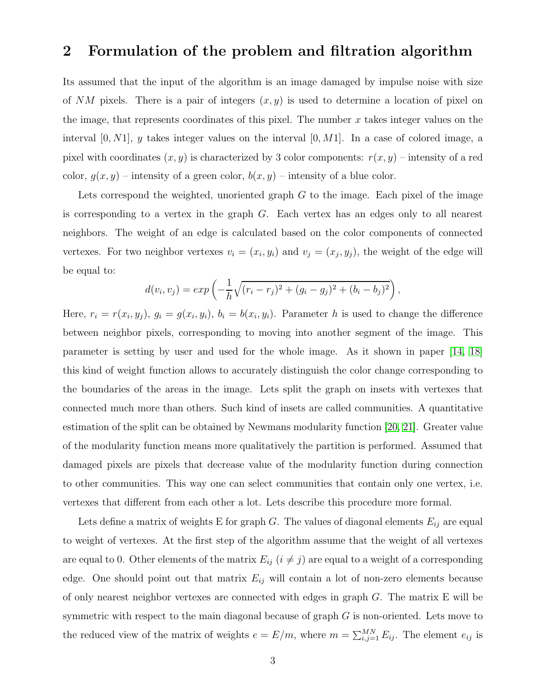### 2 Formulation of the problem and filtration algorithm

Its assumed that the input of the algorithm is an image damaged by impulse noise with size of NM pixels. There is a pair of integers  $(x, y)$  is used to determine a location of pixel on the image, that represents coordinates of this pixel. The number  $x$  takes integer values on the interval  $[0, N1]$ , y takes integer values on the interval  $[0, M1]$ . In a case of colored image, a pixel with coordinates  $(x, y)$  is characterized by 3 color components:  $r(x, y)$  – intensity of a red color,  $g(x, y)$  – intensity of a green color,  $b(x, y)$  – intensity of a blue color.

Lets correspond the weighted, unoriented graph  $G$  to the image. Each pixel of the image is corresponding to a vertex in the graph  $G$ . Each vertex has an edges only to all nearest neighbors. The weight of an edge is calculated based on the color components of connected vertexes. For two neighbor vertexes  $v_i = (x_i, y_i)$  and  $v_j = (x_j, y_j)$ , the weight of the edge will be equal to:

$$
d(v_i, v_j) = exp\left(-\frac{1}{h}\sqrt{(r_i - r_j)^2 + (g_i - g_j)^2 + (b_i - b_j)^2}\right),
$$

Here,  $r_i = r(x_i, y_j)$ ,  $g_i = g(x_i, y_i)$ ,  $b_i = b(x_i, y_i)$ . Parameter h is used to change the difference between neighbor pixels, corresponding to moving into another segment of the image. This parameter is setting by user and used for the whole image. As it shown in paper [\[14,](#page-9-2) [18\]](#page-9-5) this kind of weight function allows to accurately distinguish the color change corresponding to the boundaries of the areas in the image. Lets split the graph on insets with vertexes that connected much more than others. Such kind of insets are called communities. A quantitative estimation of the split can be obtained by Newmans modularity function [\[20,](#page-9-6) [21\]](#page-9-7). Greater value of the modularity function means more qualitatively the partition is performed. Assumed that damaged pixels are pixels that decrease value of the modularity function during connection to other communities. This way one can select communities that contain only one vertex, i.e. vertexes that different from each other a lot. Lets describe this procedure more formal.

Lets define a matrix of weights E for graph G. The values of diagonal elements  $E_{ij}$  are equal to weight of vertexes. At the first step of the algorithm assume that the weight of all vertexes are equal to 0. Other elements of the matrix  $E_{ij}$  ( $i \neq j$ ) are equal to a weight of a corresponding edge. One should point out that matrix  $E_{ij}$  will contain a lot of non-zero elements because of only nearest neighbor vertexes are connected with edges in graph G. The matrix E will be symmetric with respect to the main diagonal because of graph  $G$  is non-oriented. Lets move to the reduced view of the matrix of weights  $e = E/m$ , where  $m = \sum_{i,j=1}^{MN} E_{ij}$ . The element  $e_{ij}$  is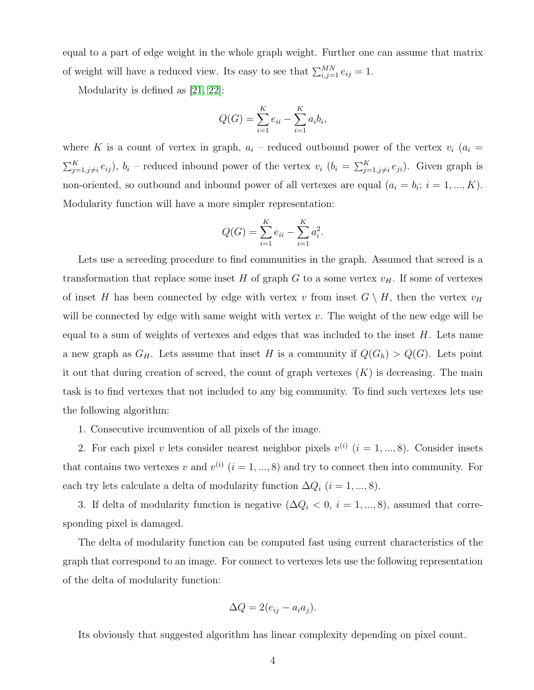equal to a part of edge weight in the whole graph weight. Further one can assume that matrix of weight will have a reduced view. Its easy to see that  $\sum_{i,j=1}^{MN} e_{ij} = 1$ .

Modularity is defined as [\[21,](#page-9-7) [22\]](#page-10-0):

$$
Q(G) = \sum_{i=1}^{K} e_{ii} - \sum_{i=1}^{K} a_i b_i,
$$

where K is a count of vertex in graph,  $a_i$  – reduced outbound power of the vertex  $v_i$  ( $a_i$  =  $\sum_{j=1,j\neq i}^{K} e_{ij}$ ,  $b_i$  – reduced inbound power of the vertex  $v_i$   $(b_i = \sum_{j=1,j\neq i}^{K} e_{ji})$ . Given graph is non-oriented, so outbound and inbound power of all vertexes are equal  $(a_i = b_i; i = 1, ..., K)$ . Modularity function will have a more simpler representation:

$$
Q(G) = \sum_{i=1}^{K} e_{ii} - \sum_{i=1}^{K} a_i^2.
$$

Lets use a screeding procedure to find communities in the graph. Assumed that screed is a transformation that replace some inset H of graph G to a some vertex  $v_H$ . If some of vertexes of inset H has been connected by edge with vertex v from inset  $G \setminus H$ , then the vertex  $v_H$ will be connected by edge with same weight with vertex  $v$ . The weight of the new edge will be equal to a sum of weights of vertexes and edges that was included to the inset  $H$ . Lets name a new graph as  $G_H$ . Lets assume that inset H is a community if  $Q(G_h) > Q(G)$ . Lets point it out that during creation of screed, the count of graph vertexes  $(K)$  is decreasing. The main task is to find vertexes that not included to any big community. To find such vertexes lets use the following algorithm:

1. Consecutive ircumvention of all pixels of the image.

2. For each pixel v lets consider nearest neighbor pixels  $v^{(i)}$   $(i = 1, ..., 8)$ . Consider insets that contains two vertexes v and  $v^{(i)}$   $(i = 1, ..., 8)$  and try to connect then into community. For each try lets calculate a delta of modularity function  $\Delta Q_i$  ( $i = 1, ..., 8$ ).

3. If delta of modularity function is negative  $(\Delta Q_i < 0, i = 1, ..., 8)$ , assumed that corresponding pixel is damaged.

The delta of modularity function can be computed fast using current characteristics of the graph that correspond to an image. For connect to vertexes lets use the following representation of the delta of modularity function:

$$
\Delta Q = 2(e_{ij} - a_i a_j).
$$

Its obviously that suggested algorithm has linear complexity depending on pixel count.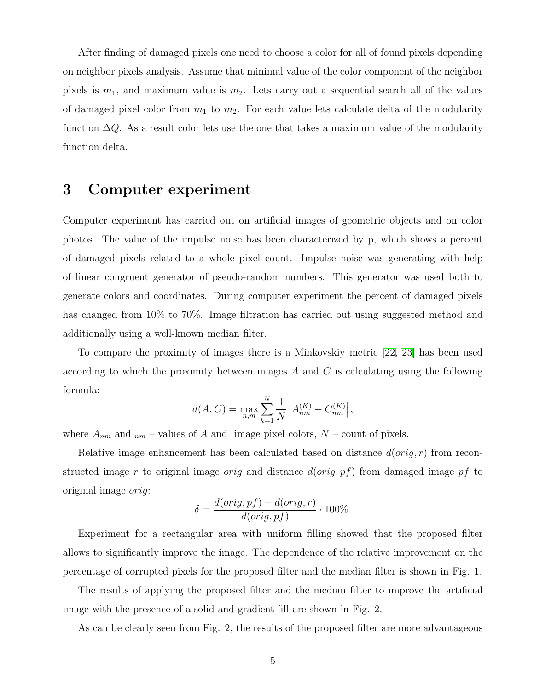After finding of damaged pixels one need to choose a color for all of found pixels depending on neighbor pixels analysis. Assume that minimal value of the color component of the neighbor pixels is  $m_1$ , and maximum value is  $m_2$ . Lets carry out a sequential search all of the values of damaged pixel color from  $m_1$  to  $m_2$ . For each value lets calculate delta of the modularity function  $\Delta Q$ . As a result color lets use the one that takes a maximum value of the modularity function delta.

# 3 Computer experiment

Computer experiment has carried out on artificial images of geometric objects and on color photos. The value of the impulse noise has been characterized by p, which shows a percent of damaged pixels related to a whole pixel count. Impulse noise was generating with help of linear congruent generator of pseudo-random numbers. This generator was used both to generate colors and coordinates. During computer experiment the percent of damaged pixels has changed from 10% to 70%. Image filtration has carried out using suggested method and additionally using a well-known median filter.

To compare the proximity of images there is a Minkovskiy metric [\[22,](#page-10-0) [23\]](#page-10-1) has been used according to which the proximity between images  $A$  and  $C$  is calculating using the following formula:

$$
d(A, C) = \max_{n,m} \sum_{k=1}^{N} \frac{1}{N} \left| A_{nm}^{(K)} - C_{nm}^{(K)} \right|,
$$

where  $A_{nm}$  and  $_{nm}$  – values of A and image pixel colors,  $N$  – count of pixels.

Relative image enhancement has been calculated based on distance  $d(orig, r)$  from reconstructed image r to original image orig and distance  $d(orig, pf)$  from damaged image pf to original image orig:

$$
\delta = \frac{d(orig, pf) - d(orig, r)}{d(orig, pf)} \cdot 100\%.
$$

Experiment for a rectangular area with uniform filling showed that the proposed filter allows to significantly improve the image. The dependence of the relative improvement on the percentage of corrupted pixels for the proposed filter and the median filter is shown in Fig. 1.

The results of applying the proposed filter and the median filter to improve the artificial image with the presence of a solid and gradient fill are shown in Fig. 2.

As can be clearly seen from Fig. 2, the results of the proposed filter are more advantageous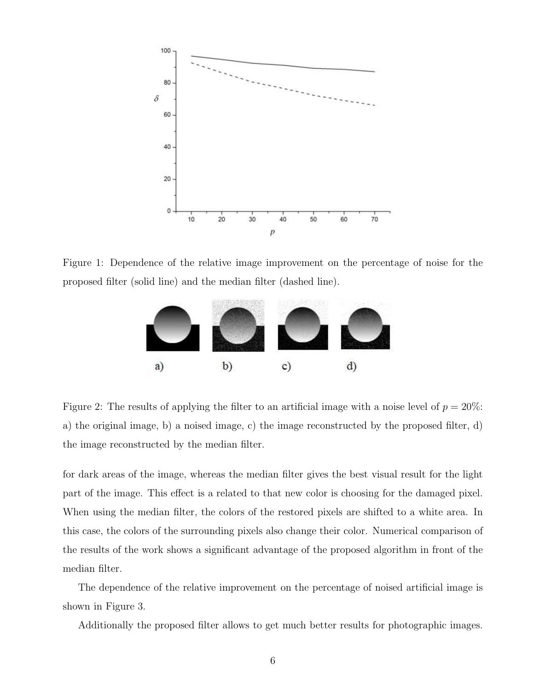

Figure 1: Dependence of the relative image improvement on the percentage of noise for the proposed filter (solid line) and the median filter (dashed line).



Figure 2: The results of applying the filter to an artificial image with a noise level of  $p = 20\%$ : a) the original image, b) a noised image, c) the image reconstructed by the proposed filter, d) the image reconstructed by the median filter.

for dark areas of the image, whereas the median filter gives the best visual result for the light part of the image. This effect is a related to that new color is choosing for the damaged pixel. When using the median filter, the colors of the restored pixels are shifted to a white area. In this case, the colors of the surrounding pixels also change their color. Numerical comparison of the results of the work shows a significant advantage of the proposed algorithm in front of the median filter.

The dependence of the relative improvement on the percentage of noised artificial image is shown in Figure 3.

Additionally the proposed filter allows to get much better results for photographic images.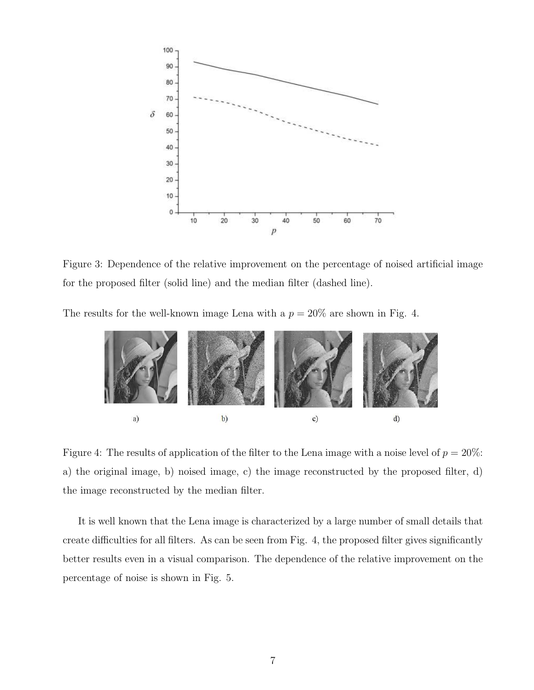

Figure 3: Dependence of the relative improvement on the percentage of noised artificial image for the proposed filter (solid line) and the median filter (dashed line).

The results for the well-known image Lena with a  $p = 20\%$  are shown in Fig. 4.



Figure 4: The results of application of the filter to the Lena image with a noise level of  $p = 20\%$ : a) the original image, b) noised image, c) the image reconstructed by the proposed filter, d) the image reconstructed by the median filter.

It is well known that the Lena image is characterized by a large number of small details that create difficulties for all filters. As can be seen from Fig. 4, the proposed filter gives significantly better results even in a visual comparison. The dependence of the relative improvement on the percentage of noise is shown in Fig. 5.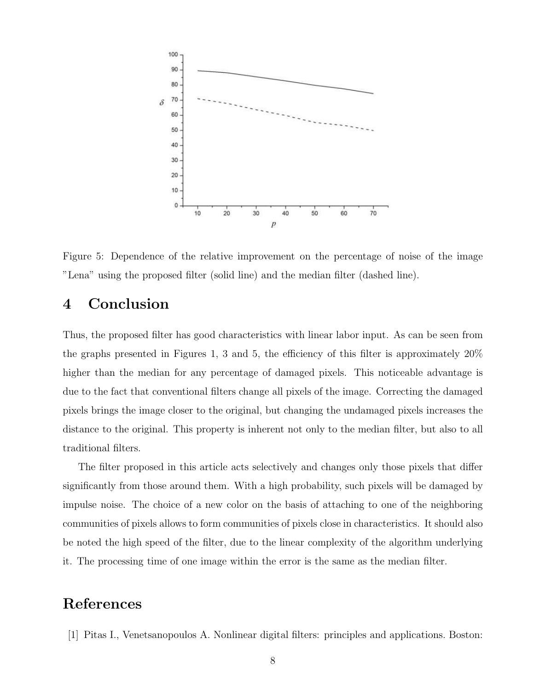

Figure 5: Dependence of the relative improvement on the percentage of noise of the image "Lena" using the proposed filter (solid line) and the median filter (dashed line).

# 4 Conclusion

Thus, the proposed filter has good characteristics with linear labor input. As can be seen from the graphs presented in Figures 1, 3 and 5, the efficiency of this filter is approximately 20% higher than the median for any percentage of damaged pixels. This noticeable advantage is due to the fact that conventional filters change all pixels of the image. Correcting the damaged pixels brings the image closer to the original, but changing the undamaged pixels increases the distance to the original. This property is inherent not only to the median filter, but also to all traditional filters.

The filter proposed in this article acts selectively and changes only those pixels that differ significantly from those around them. With a high probability, such pixels will be damaged by impulse noise. The choice of a new color on the basis of attaching to one of the neighboring communities of pixels allows to form communities of pixels close in characteristics. It should also be noted the high speed of the filter, due to the linear complexity of the algorithm underlying it. The processing time of one image within the error is the same as the median filter.

# <span id="page-7-0"></span>References

[1] Pitas I., Venetsanopoulos A. Nonlinear digital filters: principles and applications. Boston: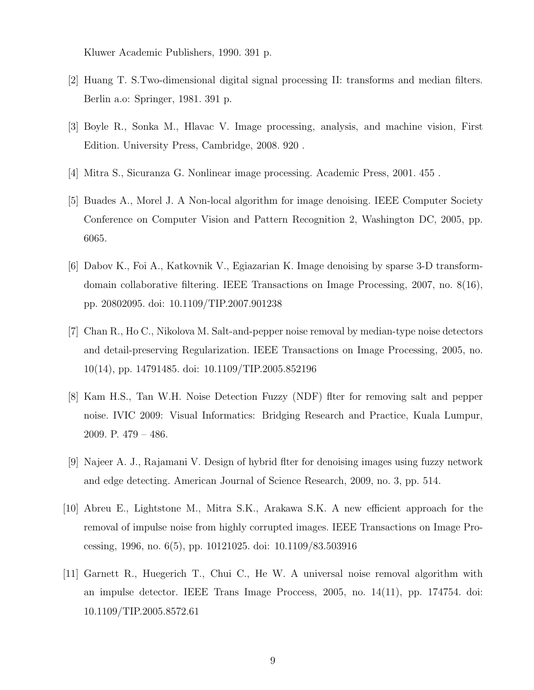<span id="page-8-0"></span>Kluwer Academic Publishers, 1990. 391 p.

- <span id="page-8-1"></span>[2] Huang T. S.Two-dimensional digital signal processing II: transforms and median filters. Berlin a.o: Springer, 1981. 391 p.
- <span id="page-8-2"></span>[3] Boyle R., Sonka M., Hlavac V. Image processing, analysis, and machine vision, First Edition. University Press, Cambridge, 2008. 920 .
- <span id="page-8-3"></span>[4] Mitra S., Sicuranza G. Nonlinear image processing. Academic Press, 2001. 455 .
- <span id="page-8-4"></span>[5] Buades A., Morel J. A Non-local algorithm for image denoising. IEEE Computer Society Conference on Computer Vision and Pattern Recognition 2, Washington DC, 2005, pp. 6065.
- [6] Dabov K., Foi A., Katkovnik V., Egiazarian K. Image denoising by sparse 3-D transformdomain collaborative filtering. IEEE Transactions on Image Processing, 2007, no. 8(16), pp. 20802095. doi: 10.1109/TIP.2007.901238
- <span id="page-8-5"></span>[7] Chan R., Ho C., Nikolova M. Salt-and-pepper noise removal by median-type noise detectors and detail-preserving Regularization. IEEE Transactions on Image Processing, 2005, no. 10(14), pp. 14791485. doi: 10.1109/TIP.2005.852196
- <span id="page-8-6"></span>[8] Kam H.S., Tan W.H. Noise Detection Fuzzy (NDF) flter for removing salt and pepper noise. IVIC 2009: Visual Informatics: Bridging Research and Practice, Kuala Lumpur, 2009. P. 479 – 486.
- <span id="page-8-8"></span><span id="page-8-7"></span>[9] Najeer A. J., Rajamani V. Design of hybrid flter for denoising images using fuzzy network and edge detecting. American Journal of Science Research, 2009, no. 3, pp. 514.
- [10] Abreu E., Lightstone M., Mitra S.K., Arakawa S.K. A new efficient approach for the removal of impulse noise from highly corrupted images. IEEE Transactions on Image Processing, 1996, no. 6(5), pp. 10121025. doi: 10.1109/83.503916
- <span id="page-8-9"></span>[11] Garnett R., Huegerich T., Chui C., He W. A universal noise removal algorithm with an impulse detector. IEEE Trans Image Proccess, 2005, no. 14(11), pp. 174754. doi: 10.1109/TIP.2005.8572.61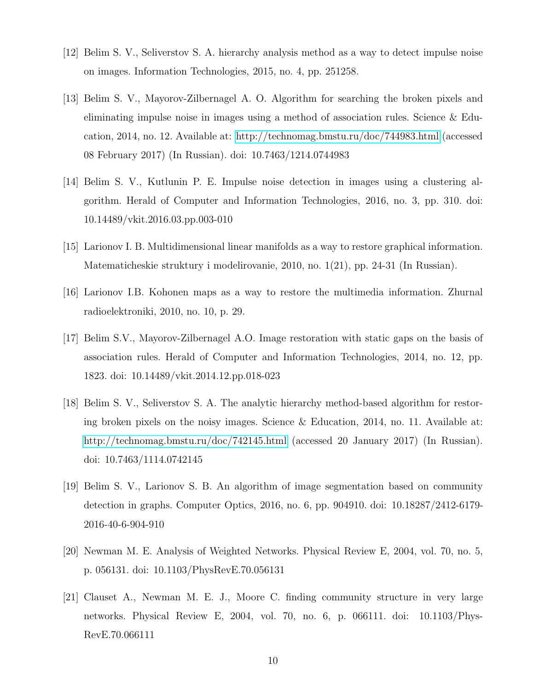- <span id="page-9-1"></span><span id="page-9-0"></span>[12] Belim S. V., Seliverstov S. A. hierarchy analysis method as a way to detect impulse noise on images. Information Technologies, 2015, no. 4, pp. 251258.
- [13] Belim S. V., Mayorov-Zilbernagel A. O. Algorithm for searching the broken pixels and eliminating impulse noise in images using a method of association rules. Science & Education, 2014, no. 12. Available at:<http://technomag.bmstu.ru/doc/744983.html> (accessed 08 February 2017) (In Russian). doi: 10.7463/1214.0744983
- <span id="page-9-2"></span>[14] Belim S. V., Kutlunin P. E. Impulse noise detection in images using a clustering algorithm. Herald of Computer and Information Technologies, 2016, no. 3, pp. 310. doi: 10.14489/vkit.2016.03.pp.003-010
- <span id="page-9-4"></span><span id="page-9-3"></span>[15] Larionov I. B. Multidimensional linear manifolds as a way to restore graphical information. Matematicheskie struktury i modelirovanie, 2010, no. 1(21), pp. 24-31 (In Russian).
- [16] Larionov I.B. Kohonen maps as a way to restore the multimedia information. Zhurnal radioelektroniki, 2010, no. 10, p. 29.
- [17] Belim S.V., Mayorov-Zilbernagel A.O. Image restoration with static gaps on the basis of association rules. Herald of Computer and Information Technologies, 2014, no. 12, pp. 1823. doi: 10.14489/vkit.2014.12.pp.018-023
- <span id="page-9-5"></span>[18] Belim S. V., Seliverstov S. A. The analytic hierarchy method-based algorithm for restoring broken pixels on the noisy images. Science & Education, 2014, no. 11. Available at: <http://technomag.bmstu.ru/doc/742145.html> (accessed 20 January 2017) (In Russian). doi: 10.7463/1114.0742145
- [19] Belim S. V., Larionov S. B. An algorithm of image segmentation based on community detection in graphs. Computer Optics, 2016, no. 6, pp. 904910. doi: 10.18287/2412-6179- 2016-40-6-904-910
- <span id="page-9-7"></span><span id="page-9-6"></span>[20] Newman M. E. Analysis of Weighted Networks. Physical Review E, 2004, vol. 70, no. 5, p. 056131. doi: 10.1103/PhysRevE.70.056131
- [21] Clauset A., Newman M. E. J., Moore C. finding community structure in very large networks. Physical Review E, 2004, vol. 70, no. 6, p. 066111. doi: 10.1103/Phys-RevE.70.066111